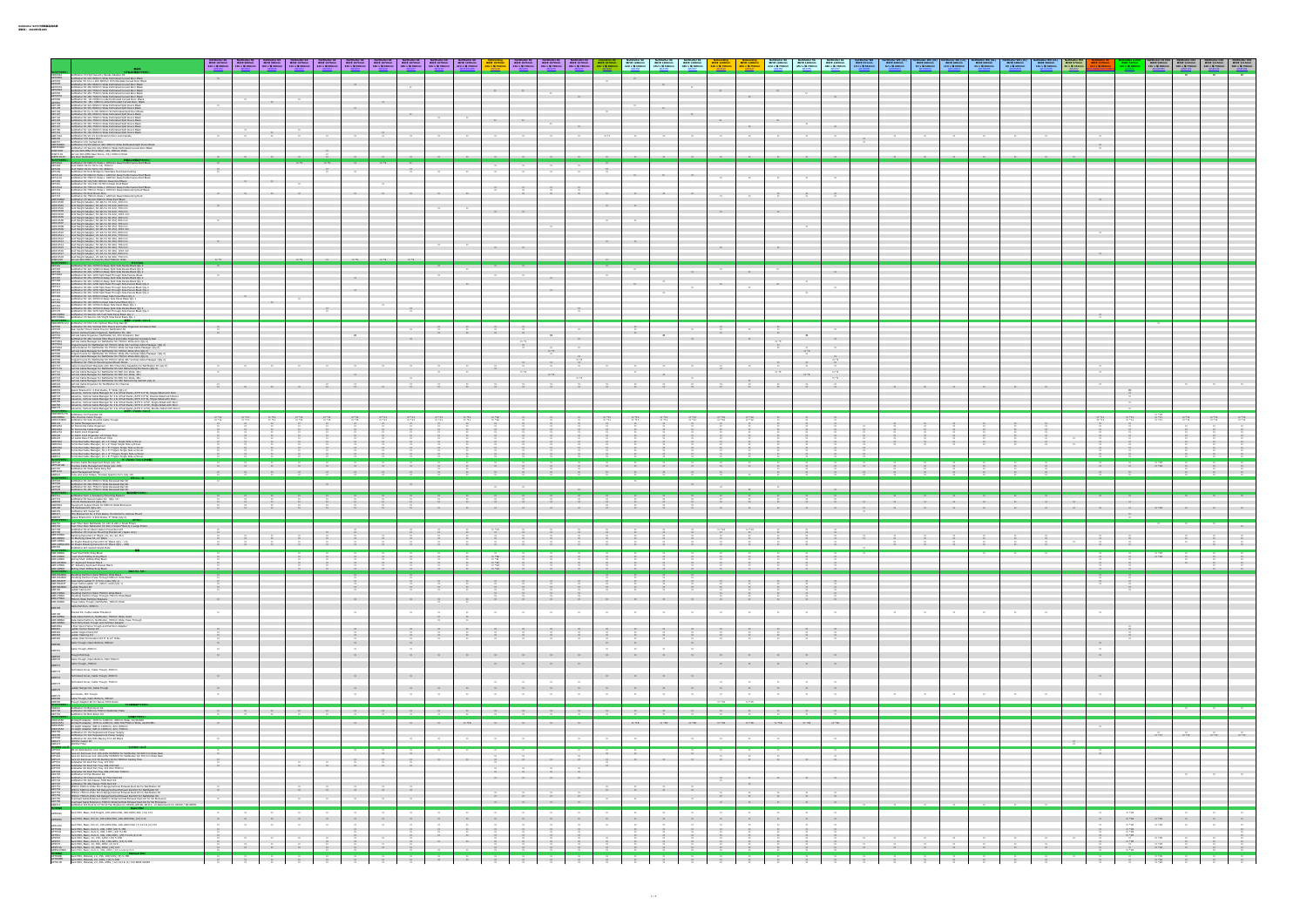| 製品名                                                                                                                                                                                                                                                                                                                                                                                                                     |                                                                                        |                          | ● NetShelter SX   NetShelter SX   NetShelter SX   NetShelter SX   NetShelter SX   NetShelter SX   NetShelter SX   NetShelter SX   NetShelter SX   NetShelter SX   NetShelter SX   NetShelter SX   NetShelter SX   NetShelte                                                                                                        |                                  |                |                                  |                                                                                                                                                                                                                               |                                                                        |                                                                                                                                                                                                                                                                                                                                    |                                                                                                                                                                                                                                                                                                                                    |                                            |                                                                                                                                                                                                                                                                                                                                               |                                                                                                                                                                                                                                                                                                                                                                                                                                                                  |                                                                                                                                                                                                                                                                                                                                                                                                                                       |                                                                                                                                                                                                                                                                                                                                    | NetShelter SX<br>奥行き 1200mm                                                                                                                                                                                                                                                                                                        | NetShelter SX<br>奥行き 1200mm | ーイン NetShelter SX<br>- 奥行き 1200mm<br>42U x 幅 600mm   45U x 幅 600mm   48U x 幅 600mm                                                                                                                                                                                                                                                 | <b>奥行き 1200mm</b><br>42U x 幅 750mm<br>AR3340                   | - 奥行き 1200mm - 2<br><mark> 48U x 幅 750mm </mark> 42U x 幅 750mm │<br>AR3347 | ■ NetShelter SX<br>■ 奥行き 1200mm | NetShelter SX<br>奥行き 1200mm<br>45U x 幅 750mm | 148U x 幅 750mm                                                                                                                                                                                                                                                                                                                                                                                                                                                                  | 奥行き 631mm<br>13U x 幅 584mm | etShelter WX (UL)<br>- 奥行き 400mm<br>- 6U x 幅 600mm | <b>Necondition WA (WA)</b><br>  9U x 幅 600mm | 奥行き 400mm<br>12U x 幅 600mm $\vert$ | 奥行き 600mm<br>6U x 幅 600mm | ecsneiter vx (OL <i>)</i><br>奥行き 600mm<br>9U x 幅 600mm | 奥行き 600mm<br>12U x 幅 600mm | <b>慢行き 970mm</b><br>$60 \times$ 幅 332mm<br><u>AR106V</u> |                                  |                                         |                                                    | NetShelter 4-Post NetShelter CX Mini NetShelter CX2 NetShelter CX2 NetShelter CX2<br>- 奥行き 747mm - 奥行き 930mm - 奥行き 1115mm - 奥行き 1115mm - 奥行き 1115mm -<br>- 44U x 幅 600mm - 12U x 幅 690mm - 18U x 幅 750mm - 24U x 幅 750mm - 38U x                                                                                                                                       |
|-------------------------------------------------------------------------------------------------------------------------------------------------------------------------------------------------------------------------------------------------------------------------------------------------------------------------------------------------------------------------------------------------------------------------|----------------------------------------------------------------------------------------|--------------------------|------------------------------------------------------------------------------------------------------------------------------------------------------------------------------------------------------------------------------------------------------------------------------------------------------------------------------------|----------------------------------|----------------|----------------------------------|-------------------------------------------------------------------------------------------------------------------------------------------------------------------------------------------------------------------------------|------------------------------------------------------------------------|------------------------------------------------------------------------------------------------------------------------------------------------------------------------------------------------------------------------------------------------------------------------------------------------------------------------------------|------------------------------------------------------------------------------------------------------------------------------------------------------------------------------------------------------------------------------------------------------------------------------------------------------------------------------------|--------------------------------------------|-----------------------------------------------------------------------------------------------------------------------------------------------------------------------------------------------------------------------------------------------------------------------------------------------------------------------------------------------|------------------------------------------------------------------------------------------------------------------------------------------------------------------------------------------------------------------------------------------------------------------------------------------------------------------------------------------------------------------------------------------------------------------------------------------------------------------|---------------------------------------------------------------------------------------------------------------------------------------------------------------------------------------------------------------------------------------------------------------------------------------------------------------------------------------------------------------------------------------------------------------------------------------|------------------------------------------------------------------------------------------------------------------------------------------------------------------------------------------------------------------------------------------------------------------------------------------------------------------------------------|------------------------------------------------------------------------------------------------------------------------------------------------------------------------------------------------------------------------------------------------------------------------------------------------------------------------------------|-----------------------------|------------------------------------------------------------------------------------------------------------------------------------------------------------------------------------------------------------------------------------------------------------------------------------------------------------------------------------|----------------------------------------------------------------|----------------------------------------------------------------------------|---------------------------------|----------------------------------------------|---------------------------------------------------------------------------------------------------------------------------------------------------------------------------------------------------------------------------------------------------------------------------------------------------------------------------------------------------------------------------------------------------------------------------------------------------------------------------------|----------------------------|----------------------------------------------------|----------------------------------------------|------------------------------------|---------------------------|--------------------------------------------------------|----------------------------|----------------------------------------------------------|----------------------------------|-----------------------------------------|----------------------------------------------------|------------------------------------------------------------------------------------------------------------------------------------------------------------------------------------------------------------------------------------------------------------------------------------------------------------------------------------------------------------------------|
| ドアおよび周辺アクセサリー<br>NetShelter CX High Security Handle Adapter Kit<br>AR4602A<br>NetShelter SX 42U 600mm Wide Perforated Curved Door Black<br>Netshelter SX Co-Lo 20U 600mm W Perforated Curved Door Black<br>NetShelter SX 45U 600mm Wide Perforated Curved Door Black                                                                                                                                                    | $\overline{O}$                                                                         |                          |                                                                                                                                                                                                                                                                                                                                    |                                  |                | $\overline{O}$                   |                                                                                                                                                                                                                               |                                                                        |                                                                                                                                                                                                                                                                                                                                    |                                                                                                                                                                                                                                                                                                                                    |                                            |                                                                                                                                                                                                                                                                                                                                               |                                                                                                                                                                                                                                                                                                                                                                                                                                                                  |                                                                                                                                                                                                                                                                                                                                                                                                                                       |                                                                                                                                                                                                                                                                                                                                    | $\overline{O}$                                                                                                                                                                                                                                                                                                                     | <b>O</b>                    |                                                                                                                                                                                                                                                                                                                                    |                                                                |                                                                            |                                 |                                              |                                                                                                                                                                                                                                                                                                                                                                                                                                                                                 |                            |                                                    |                                              |                                    |                           |                                                        |                            |                                                          |                                  |                                         |                                                    |                                                                                                                                                                                                                                                                                                                                                                        |
| VetShelter SX 48U 600mm Wide Perforated Curved Door Black<br>VetShelter SX 42U 750mm Wide Perforated Curved Door Black<br>NetShelter SX 45U 750mm Wide Perforated Curved Door Black<br>NetShelter SX 48U 750mm Wide Perforated Curved Door Black<br>NetShelter SX 12U 600mm wide Perforated Curved Door, Black                                                                                                          |                                                                                        |                          |                                                                                                                                                                                                                                                                                                                                    |                                  |                |                                  |                                                                                                                                                                                                                               |                                                                        |                                                                                                                                                                                                                                                                                                                                    |                                                                                                                                                                                                                                                                                                                                    | $\overline{O}$                             | $\overline{O}$                                                                                                                                                                                                                                                                                                                                |                                                                                                                                                                                                                                                                                                                                                                                                                                                                  | $\overline{O}$                                                                                                                                                                                                                                                                                                                                                                                                                        |                                                                                                                                                                                                                                                                                                                                    |                                                                                                                                                                                                                                                                                                                                    |                             |                                                                                                                                                                                                                                                                                                                                    | $\overline{O}$                                                 | $\overline{O}$                                                             |                                 |                                              | $\overline{O}$                                                                                                                                                                                                                                                                                                                                                                                                                                                                  |                            |                                                    |                                              |                                    |                           |                                                        |                            |                                                          |                                  |                                         |                                                    |                                                                                                                                                                                                                                                                                                                                                                        |
| NetShelter SX 18U 600mm wide Perforated Curved Door, Black<br>NetShelter SX 42U 600mm Wide Perforated Split Doors Black<br>NetShelter SX 45U 600mm Wide Perforated Split Doors Black<br>NetShelter SX Co-lo 20U 600mm W Perforated Split Door Black<br>NetShelter SX 48U 600mm Wide Perforated Split Doors Black                                                                                                        |                                                                                        |                          | $\overline{O}$                                                                                                                                                                                                                                                                                                                     |                                  |                | $\overline{O}$                   | $\overline{O}$                                                                                                                                                                                                                | $\overline{O}$                                                         |                                                                                                                                                                                                                                                                                                                                    |                                                                                                                                                                                                                                                                                                                                    |                                            |                                                                                                                                                                                                                                                                                                                                               |                                                                                                                                                                                                                                                                                                                                                                                                                                                                  |                                                                                                                                                                                                                                                                                                                                                                                                                                       |                                                                                                                                                                                                                                                                                                                                    |                                                                                                                                                                                                                                                                                                                                    | $\overline{O}$              | $\overline{O}$                                                                                                                                                                                                                                                                                                                     |                                                                |                                                                            |                                 |                                              |                                                                                                                                                                                                                                                                                                                                                                                                                                                                                 |                            |                                                    |                                              |                                    |                           |                                                        |                            |                                                          |                                  |                                         |                                                    |                                                                                                                                                                                                                                                                                                                                                                        |
| NetShelter SX 42U 700mm Wide Perforated Split Doors Black<br>VetShelter SX 42U 750mm Wide Perforated Split Doors Black<br>NetShelter SX 45U 750mm Wide Perforated Split Doors Black<br>NetShelter SX 48U 750mm Wide Perforated Split Doors Black<br>NetShelter SX 12U 600mm Wide Perforated Split Doors Black                                                                                                           |                                                                                        |                          |                                                                                                                                                                                                                                                                                                                                    |                                  |                |                                  |                                                                                                                                                                                                                               |                                                                        |                                                                                                                                                                                                                                                                                                                                    |                                                                                                                                                                                                                                                                                                                                    | $\overline{O}$                             | $\overline{a}$ and $\overline{a}$ and $\overline{a}$ and $\overline{a}$ and $\overline{a}$ and $\overline{a}$ and $\overline{a}$ and $\overline{a}$ and $\overline{a}$ and $\overline{a}$ and $\overline{a}$ and $\overline{a}$ and $\overline{a}$ and $\overline{a}$ and $\overline{a}$ and $\overline{a}$ and $\overline{a}$ and            |                                                                                                                                                                                                                                                                                                                                                                                                                                                                  | $\overline{O}$                                                                                                                                                                                                                                                                                                                                                                                                                        |                                                                                                                                                                                                                                                                                                                                    |                                                                                                                                                                                                                                                                                                                                    |                             |                                                                                                                                                                                                                                                                                                                                    | $\overline{O}$                                                 | $\overline{O}$                                                             | <b>CONTINUES</b>                |                                              | $\overline{O}$                                                                                                                                                                                                                                                                                                                                                                                                                                                                  |                            |                                                    |                                              |                                    |                           |                                                        |                            |                                                          |                                  |                                         |                                                    |                                                                                                                                                                                                                                                                                                                                                                        |
| NetShelter SX 18U 600mm Wide Perforated Split Doors Black<br>NetShelter SX-VX-VS Combination Door Lock Handle<br>NetShelter 13U Glass Door<br>NetShelter 13U Vented Door<br>NetShelter VX/VS Seismic 42U 600mm Wide Perforated Split Doors Black<br>AR8362BI K                                                                                                                                                          |                                                                                        |                          | $\overline{O}$                                                                                                                                                                                                                                                                                                                     |                                  |                |                                  | $\overline{O}$                                                                                                                                                                                                                |                                                                        |                                                                                                                                                                                                                                                                                                                                    |                                                                                                                                                                                                                                                                                                                                    |                                            |                                                                                                                                                                                                                                                                                                                                               |                                                                                                                                                                                                                                                                                                                                                                                                                                                                  |                                                                                                                                                                                                                                                                                                                                                                                                                                       |                                                                                                                                                                                                                                                                                                                                    |                                                                                                                                                                                                                                                                                                                                    |                             |                                                                                                                                                                                                                                                                                                                                    |                                                                |                                                                            |                                 |                                              |                                                                                                                                                                                                                                                                                                                                                                                                                                                                                 | $\overline{O}$             |                                                    |                                              |                                    |                           |                                                        |                            |                                                          | <b>O</b>                         |                                         |                                                    |                                                                                                                                                                                                                                                                                                                                                                        |
| AR8361BLK<br>NetShelter VX Seismic 42U 600mm Wide Perforated Curved Door Black<br>Service SKU-RMA Front Door, 24U, 600mm Wide<br>WAR7004<br>Service SKU-RMA Rear Doors, 24U, 600mm Wide<br>WAR7104<br>W870-8135 Key Door Netshelter<br>天板および周辺アクセサリー                                                                                                                                                                    |                                                                                        | $\bigcap$                | $\overline{a}$                                                                                                                                                                                                                                                                                                                     | $\overline{O}$                   |                | $\bigcap$                        |                                                                                                                                                                                                                               | $\bigcirc$                                                             |                                                                                                                                                                                                                                                                                                                                    | $\bigcirc$                                                                                                                                                                                                                                                                                                                         | $\overline{O}$                             | $\bigcirc$                                                                                                                                                                                                                                                                                                                                    |                                                                                                                                                                                                                                                                                                                                                                                                                                                                  | $\bigcirc$                                                                                                                                                                                                                                                                                                                                                                                                                            | $\bigcirc$                                                                                                                                                                                                                                                                                                                         |                                                                                                                                                                                                                                                                                                                                    |                             | $\bigcirc$                                                                                                                                                                                                                                                                                                                         | $\overline{O}$ and $\overline{O}$ and $\overline{O}$           | $\overline{O}$                                                             |                                 | $\overline{O}$                               | $\overline{a}$                                                                                                                                                                                                                                                                                                                                                                                                                                                                  |                            | $\overline{O}$                                     | $\overline{O}$                               |                                    | $\bigcap$                 | $\bigcap$                                              |                            | $\overline{\phantom{a}}$                                 |                                  |                                         |                                                    |                                                                                                                                                                                                                                                                                                                                                                        |
| NetShelter SX 600mm Wide x 1070mm Deep Performance Roof Black<br>Roof Match Kit for SX to VX, 750mm<br>Roof Match Kit for SX to VX, 600mm<br>NetShelter SX Roof Bridge to Facilitate Overhead Cabling<br>AR7209<br>NetShelter SX 600mm Wide x 1200mm Deep Performance Roof Black<br>AR7211A                                                                                                                             | $\overline{O}$<br>$\overline{O}$                                                       |                          |                                                                                                                                                                                                                                                                                                                                    |                                  | $\overline{O}$ |                                  | $O*2$ $O*2$ $O*2$ $O*3$ $O*3$ $O*3$ $O*3$ $O*3$ $O*3$ $O*3$ $O*3$ $O*3$ $O*3$ $O*3$ $O*3$ $O*3$ $O*3$ $O*3$ $O*3$ $O*3$ $O*3$ $O*3$ $O*3$ $O*3$ $O*3$ $O*3$ $O*3$ $O*3$ $O*3$ $O*3$ $O*3$ $O*3$ $O*3$ $O*3$ $O*3$ $O*3$ $O*3$ | $\overline{O}$                                                         |                                                                                                                                                                                                                                                                                                                                    |                                                                                                                                                                                                                                                                                                                                    |                                            |                                                                                                                                                                                                                                                                                                                                               |                                                                                                                                                                                                                                                                                                                                                                                                                                                                  |                                                                                                                                                                                                                                                                                                                                                                                                                                       | $\overline{O}$<br>$\overline{O}$                                                                                                                                                                                                                                                                                                   | and the contract of the contract of the contract of the contract of the contract of the contract of the contract of                                                                                                                                                                                                                |                             |                                                                                                                                                                                                                                                                                                                                    |                                                                |                                                                            |                                 |                                              |                                                                                                                                                                                                                                                                                                                                                                                                                                                                                 |                            |                                                    |                                              |                                    |                           |                                                        |                            |                                                          |                                  |                                         |                                                    |                                                                                                                                                                                                                                                                                                                                                                        |
| NetShelter SX 750mm Wide x 1200mm Deep Performance Roof Black<br>AR7212A<br>NetShelter SX 12U/18U 900mm Deep Roof Black<br>AR7260  <br>NetShelter SX 12U/18U 1070mm Deep Roof Black<br>AR7261<br>NetShelter SX 750mm Wide x 1070mm Deep Performance Roof Black<br>AR7251A<br>NetShelter SX 750mm Wide x 1070mm Deep Networking Roof Black                                                                               |                                                                                        |                          |                                                                                                                                                                                                                                                                                                                                    |                                  |                |                                  |                                                                                                                                                                                                                               |                                                                        |                                                                                                                                                                                                                                                                                                                                    |                                                                                                                                                                                                                                                                                                                                    | $\overline{O}$                             | $\overline{O}$                                                                                                                                                                                                                                                                                                                                |                                                                                                                                                                                                                                                                                                                                                                                                                                                                  |                                                                                                                                                                                                                                                                                                                                                                                                                                       |                                                                                                                                                                                                                                                                                                                                    |                                                                                                                                                                                                                                                                                                                                    |                             |                                                                                                                                                                                                                                                                                                                                    |                                                                |                                                                            |                                 |                                              |                                                                                                                                                                                                                                                                                                                                                                                                                                                                                 |                            |                                                    |                                              |                                    |                           |                                                        |                            |                                                          |                                  |                                         |                                                    |                                                                                                                                                                                                                                                                                                                                                                        |
| NetShelter SX Roof Brush Strip<br>AR7714<br>NetShelter SX 750mm Wide x 1200mm Deep Networking Roof<br>AR7716<br>AR8391BLK NetShelter VX Seismic 600mm Wide Roof Black<br>ACDC2500 Roof Height Adapter, SX 42U to VX 42U, 300 mm<br>ACDC2501 Roof Height Adapter, SX 42U to VX 42U, 600 mm                                                                                                                               | $\overline{a}$                                                                         |                          |                                                                                                                                                                                                                                                                                                                                    |                                  |                |                                  | $\begin{array}{ccccccccccccccccc} \circ & & \circ & & \circ & & \circ \end{array}$                                                                                                                                            |                                                                        | $\overline{a}$                                                                                                                                                                                                                                                                                                                     | $\overline{a}$ and $\overline{a}$ and $\overline{a}$ and $\overline{a}$ and $\overline{a}$ and $\overline{a}$ and $\overline{a}$ and $\overline{a}$ and $\overline{a}$ and $\overline{a}$ and $\overline{a}$ and $\overline{a}$ and $\overline{a}$ and $\overline{a}$ and $\overline{a}$ and $\overline{a}$ and $\overline{a}$ and |                                            | $\overline{O}$                                                                                                                                                                                                                                                                                                                                | $\overline{O}$ and $\overline{O}$ and $\overline{O}$                                                                                                                                                                                                                                                                                                                                                                                                             | $\overline{O}$ and $\overline{O}$ and $\overline{O}$                                                                                                                                                                                                                                                                                                                                                                                  | $\overline{a}$ and $\overline{a}$ and $\overline{a}$ and $\overline{a}$ and $\overline{a}$ and $\overline{a}$ and $\overline{a}$ and $\overline{a}$ and $\overline{a}$ and $\overline{a}$ and $\overline{a}$ and $\overline{a}$ and $\overline{a}$ and $\overline{a}$ and $\overline{a}$ and $\overline{a}$ and $\overline{a}$ and | $\overline{a}$ and $\overline{a}$ and $\overline{a}$ and $\overline{a}$ and $\overline{a}$ and $\overline{a}$ and $\overline{a}$ and $\overline{a}$ and $\overline{a}$ and $\overline{a}$ and $\overline{a}$ and $\overline{a}$ and $\overline{a}$ and $\overline{a}$ and $\overline{a}$ and $\overline{a}$ and $\overline{a}$ and |                             |                                                                                                                                                                                                                                                                                                                                    |                                                                |                                                                            | $\overline{O}$                  | $\overline{O}$                               |                                                                                                                                                                                                                                                                                                                                                                                                                                                                                 |                            |                                                    |                                              |                                    |                           |                                                        |                            |                                                          | $\overline{O}$                   |                                         |                                                    |                                                                                                                                                                                                                                                                                                                                                                        |
| ACDC2502 Roof Height Adapter, SX 42U to VX 42U, 700 mm<br>ACDC2503 Roof Height Adapter, SX 42U to VX 42U, 750 mm<br>ACDC2504 Roof Height Adapter, SX 42U to VX 42U, 1016 mm<br>ACDC2505 Roof Height Adapter, SX 42U to SX 45U, 300 mm<br>ACDC2506 Roof Height Adapter, SX 42U to SX 45U, 600 mm                                                                                                                         |                                                                                        |                          |                                                                                                                                                                                                                                                                                                                                    |                                  |                |                                  |                                                                                                                                                                                                                               |                                                                        |                                                                                                                                                                                                                                                                                                                                    |                                                                                                                                                                                                                                                                                                                                    | $\overline{O}$                             | $\overline{O}$                                                                                                                                                                                                                                                                                                                                |                                                                                                                                                                                                                                                                                                                                                                                                                                                                  |                                                                                                                                                                                                                                                                                                                                                                                                                                       | $\overline{O}$                                                                                                                                                                                                                                                                                                                     | $\overline{a}$                                                                                                                                                                                                                                                                                                                     |                             |                                                                                                                                                                                                                                                                                                                                    | $\overline{O}$                                                 |                                                                            | $\overline{O}$                  |                                              |                                                                                                                                                                                                                                                                                                                                                                                                                                                                                 |                            |                                                    |                                              |                                    |                           |                                                        |                            |                                                          |                                  |                                         |                                                    |                                                                                                                                                                                                                                                                                                                                                                        |
| ACDC2507 Roof Height Adapter, SX 42U to SX 45U, 700 mm<br>ACDC2508 Roof Height Adapter, SX 42U to SX 45U, 750 mm<br>ACDC2509 Roof Height Adapter, SX 42U to SX 45U, 1016 mm<br>ACDC2510 Roof Height Adapter, VX 42U to SX 45U, 600 mm<br>ACDC2511 Roof Height Adapter, VX 42U to SX 45U, 750 mm                                                                                                                         |                                                                                        |                          |                                                                                                                                                                                                                                                                                                                                    |                                  |                |                                  |                                                                                                                                                                                                                               |                                                                        |                                                                                                                                                                                                                                                                                                                                    |                                                                                                                                                                                                                                                                                                                                    |                                            |                                                                                                                                                                                                                                                                                                                                               |                                                                                                                                                                                                                                                                                                                                                                                                                                                                  |                                                                                                                                                                                                                                                                                                                                                                                                                                       |                                                                                                                                                                                                                                                                                                                                    |                                                                                                                                                                                                                                                                                                                                    |                             |                                                                                                                                                                                                                                                                                                                                    |                                                                |                                                                            |                                 |                                              |                                                                                                                                                                                                                                                                                                                                                                                                                                                                                 |                            |                                                    |                                              |                                    |                           |                                                        |                            |                                                          |                                  |                                         |                                                    |                                                                                                                                                                                                                                                                                                                                                                        |
| ACDC2512 Roof Height Adapter, SX 42U to SX 48U, 300 mm<br>ACDC2513 Roof Height Adapter, SX 42U to SX 48U, 600 mm<br>ACDC2514 Roof Height Adapter, SX 42U to SX 48U, 700 mm<br>ACDC2515 Roof Height Adapter, SX 42U to SX 48U, 750 mm<br>ACDC2516 Roof Height Adapter, SX 42U to SX 48U, 1016 mm                                                                                                                         |                                                                                        |                          |                                                                                                                                                                                                                                                                                                                                    |                                  |                |                                  |                                                                                                                                                                                                                               |                                                                        |                                                                                                                                                                                                                                                                                                                                    |                                                                                                                                                                                                                                                                                                                                    |                                            |                                                                                                                                                                                                                                                                                                                                               |                                                                                                                                                                                                                                                                                                                                                                                                                                                                  |                                                                                                                                                                                                                                                                                                                                                                                                                                       | $\overline{O}$                                                                                                                                                                                                                                                                                                                     | $\overline{O}$                                                                                                                                                                                                                                                                                                                     |                             |                                                                                                                                                                                                                                                                                                                                    | $\overline{O}$                                                 |                                                                            | $\overline{O}$                  |                                              |                                                                                                                                                                                                                                                                                                                                                                                                                                                                                 |                            |                                                    |                                              |                                    |                           |                                                        |                            |                                                          |                                  |                                         |                                                    |                                                                                                                                                                                                                                                                                                                                                                        |
| ACDC2517 Roof Height Adapter, VX 42U to SX 48U, 600 mm<br>ACDC2518 Roof Height Adapter, VX 42U to SX 48U, 750 mm<br>WAR7210 Service SKU-RMA Hi Security Roof 600mm Wide<br>NetShelter SX 42U 1070mm Deep Split Side Panels Black Qty 2<br>AR7301                                                                                                                                                                        | $\overline{O}$ *2<br>$\overline{\phantom{a}}$ $\overline{\phantom{a}}$                 |                          |                                                                                                                                                                                                                                                                                                                                    |                                  |                |                                  | $0 * 2$ 0 0 $0 * 2$ 0 $0 * 2$ 0 $0 * 2$                                                                                                                                                                                       |                                                                        | $\overline{a}$ and $\overline{a}$ and $\overline{a}$ and $\overline{a}$ and $\overline{a}$ and $\overline{a}$ and $\overline{a}$ and $\overline{a}$ and $\overline{a}$ and $\overline{a}$ and $\overline{a}$ and $\overline{a}$ and $\overline{a}$ and $\overline{a}$ and $\overline{a}$ and $\overline{a}$ and $\overline{a}$ and |                                                                                                                                                                                                                                                                                                                                    |                                            |                                                                                                                                                                                                                                                                                                                                               |                                                                                                                                                                                                                                                                                                                                                                                                                                                                  |                                                                                                                                                                                                                                                                                                                                                                                                                                       | $\overline{O}$                                                                                                                                                                                                                                                                                                                     |                                                                                                                                                                                                                                                                                                                                    |                             |                                                                                                                                                                                                                                                                                                                                    |                                                                |                                                                            |                                 |                                              |                                                                                                                                                                                                                                                                                                                                                                                                                                                                                 |                            |                                                    |                                              |                                    |                           |                                                        |                            |                                                          | $\overline{O}$                   |                                         |                                                    |                                                                                                                                                                                                                                                                                                                                                                        |
| NetShelter SX 42U 1200mm Deep Split Side Panels Black Qty 2<br>NetShelter SX 48U 1200mm Deep Split Side Panels Black Qty 2<br>AR7303<br>AR7304<br>AR7305A<br>NetShelter SX 42U 1070 Split Feed Through Side Panels, Black<br>NetShelter SX 45U 1070mm Deep Split Side Panels Black Qty 2<br>AR7307<br>NetShelter SX 45U 1200mm Deep Split Side Panels Black Qty 2<br>AR7308                                             |                                                                                        |                          |                                                                                                                                                                                                                                                                                                                                    |                                  |                | $\overline{O}$                   |                                                                                                                                                                                                                               |                                                                        |                                                                                                                                                                                                                                                                                                                                    |                                                                                                                                                                                                                                                                                                                                    |                                            |                                                                                                                                                                                                                                                                                                                                               | $\overline{O}$                                                                                                                                                                                                                                                                                                                                                                                                                                                   | <b>STATE OF STATE OF STATE OF STATE OF STATE OF STATE OF STATE OF STATE OF STATE OF STATE OF STATE OF STATE OF S</b>                                                                                                                                                                                                                                                                                                                  |                                                                                                                                                                                                                                                                                                                                    |                                                                                                                                                                                                                                                                                                                                    |                             |                                                                                                                                                                                                                                                                                                                                    |                                                                |                                                                            |                                 |                                              |                                                                                                                                                                                                                                                                                                                                                                                                                                                                                 |                            |                                                    |                                              |                                    |                           |                                                        |                            |                                                          |                                  |                                         |                                                    |                                                                                                                                                                                                                                                                                                                                                                        |
| NetShelter SX 42U 1200 Split Feed Through Side Panels Black Qty 2<br>AR7313<br>NetShelter SX 48U 1200 Split Feed Through Side Panels Black Qty 2<br>AR7314<br>AR7315<br>NetShelter SX 45U 1070 Split Feed Through Side Panels Black Qty 2<br>NetShelter SX 45U 1200 Split Feed Through Side Panels Black Qty 2<br>NetShelter SX 12U 900mm Deep Side Panel Black Qty 1                                                   |                                                                                        | $\overline{O}$           |                                                                                                                                                                                                                                                                                                                                    |                                  |                | $\overline{\phantom{a}}$         |                                                                                                                                                                                                                               |                                                                        |                                                                                                                                                                                                                                                                                                                                    | $\begin{array}{ccc} \text{ } & \text{ } & \text{ } \\ \text{ } & \text{ } & \text{ } & \text{ } \end{array}$                                                                                                                                                                                                                       |                                            |                                                                                                                                                                                                                                                                                                                                               | $\overline{a}$                                                                                                                                                                                                                                                                                                                                                                                                                                                   |                                                                                                                                                                                                                                                                                                                                                                                                                                       |                                                                                                                                                                                                                                                                                                                                    |                                                                                                                                                                                                                                                                                                                                    |                             |                                                                                                                                                                                                                                                                                                                                    | $\begin{array}{ccc} & & \circ & \\ & & \circ & \\ \end{array}$ |                                                                            | $\overline{a}$                  |                                              |                                                                                                                                                                                                                                                                                                                                                                                                                                                                                 |                            |                                                    |                                              |                                    |                           |                                                        |                            |                                                          |                                  |                                         |                                                    |                                                                                                                                                                                                                                                                                                                                                                        |
| NetShelter SX 12U 1070mm Deep Side Panel Black Qty 1<br>NetShelter SX 18U 900mm Deep Side Panel Black Qty 1<br>NetShelter SX 18U 1070mm Deep Side Panel Black Qty 1<br>NetShelter SX 48U 1070mm Deep Split Side Panels Black Qty 2<br>NetShelter SX 48U 1070 Split Feed Through Side Panels Black Qty 2                                                                                                                 |                                                                                        |                          | $\overline{O}$                                                                                                                                                                                                                                                                                                                     |                                  |                |                                  |                                                                                                                                                                                                                               | $\overline{O}$                                                         |                                                                                                                                                                                                                                                                                                                                    |                                                                                                                                                                                                                                                                                                                                    |                                            |                                                                                                                                                                                                                                                                                                                                               |                                                                                                                                                                                                                                                                                                                                                                                                                                                                  | $\overline{O}$                                                                                                                                                                                                                                                                                                                                                                                                                        |                                                                                                                                                                                                                                                                                                                                    |                                                                                                                                                                                                                                                                                                                                    |                             |                                                                                                                                                                                                                                                                                                                                    |                                                                |                                                                            |                                 |                                              |                                                                                                                                                                                                                                                                                                                                                                                                                                                                                 |                            |                                                    |                                              |                                    |                           |                                                        |                            |                                                          |                                  |                                         |                                                    |                                                                                                                                                                                                                                                                                                                                                                        |
| NetShelter VX Seismic 42U Left Side Panel Black Qty 1<br>AR8393BLK NetShelter VX Seismic 42U Right Side Panel Black Qty 1<br>垂直ケーブルマネージメント<br>JOOMV12U NetShelter CX Mini 12U Vertical Mounting Rail Kit<br>NetShelter SX 42U Vertical PDU Mount and Cable Organizer Accessory Rail<br>AR750.                                                                                                                           | $\overline{O}$                                                                         |                          |                                                                                                                                                                                                                                                                                                                                    |                                  |                |                                  |                                                                                                                                                                                                                               |                                                                        | $\overline{O}$                                                                                                                                                                                                                                                                                                                     | $\overline{O}$                                                                                                                                                                                                                                                                                                                     | <b>Contract Contract Contract Contract</b> | $\overline{O}$                                                                                                                                                                                                                                                                                                                                |                                                                                                                                                                                                                                                                                                                                                                                                                                                                  |                                                                                                                                                                                                                                                                                                                                                                                                                                       |                                                                                                                                                                                                                                                                                                                                    | $\overline{O}$                                                                                                                                                                                                                                                                                                                     |                             |                                                                                                                                                                                                                                                                                                                                    | <b>D</b>                                                       |                                                                            | $\overline{O}$                  |                                              |                                                                                                                                                                                                                                                                                                                                                                                                                                                                                 |                            |                                                    |                                              |                                    |                           |                                                        |                            |                                                          |                                  |                                         |                                                    |                                                                                                                                                                                                                                                                                                                                                                        |
| Rear Center Mount Cable Tree for NetShelter SX<br>Narrow Vertical Cable Organizer, NetShelter SX, 42U<br>Vertical Cable Organizer, NetShelter SX, 45U Accessory Rail<br>NetShelter SX 48U Vertical PDU Mount and Cable Organizer Accessory Rail<br>Vertical Cable Manager for NetShelter SX 750mm Wide 42U (Qty 2)                                                                                                      | $\overline{O}$                                                                         |                          |                                                                                                                                                                                                                                                                                                                                    |                                  |                |                                  |                                                                                                                                                                                                                               | $\overline{O}$                                                         | <b>CONTRACTOR</b>                                                                                                                                                                                                                                                                                                                  | <b>Designation</b>                                                                                                                                                                                                                                                                                                                 | $\overline{O}$                             | $\overline{O}$                                                                                                                                                                                                                                                                                                                                |                                                                                                                                                                                                                                                                                                                                                                                                                                                                  | $\overline{O}$                                                                                                                                                                                                                                                                                                                                                                                                                        |                                                                                                                                                                                                                                                                                                                                    | $\overline{O}$                                                                                                                                                                                                                                                                                                                     |                             |                                                                                                                                                                                                                                                                                                                                    |                                                                |                                                                            | $\overline{O}$                  |                                              | $\overline{O}$                                                                                                                                                                                                                                                                                                                                                                                                                                                                  |                            |                                                    |                                              |                                    |                           |                                                        |                            |                                                          |                                  |                                         |                                                    |                                                                                                                                                                                                                                                                                                                                                                        |
| Hinged Covers for NetShelter SX 750mm Wide 42U Vertical Cable Manager (Qty 2)<br>Cable Retainer for NetShelter SX 750mm Wide Vertical Cable Manager (qty 6)<br>Vertical Cable Manager for NetShelter SX 750mm Wide 45U (Qty 2)<br>Hinged Covers for NetShelter SX 750mm Wide 45U Vertical Cable Manager (Qty 2)<br>Vertical Cable Manager for NetShelter SX 750mm Wide 48U (Qty 2)                                      |                                                                                        |                          |                                                                                                                                                                                                                                                                                                                                    |                                  |                |                                  |                                                                                                                                                                                                                               |                                                                        |                                                                                                                                                                                                                                                                                                                                    |                                                                                                                                                                                                                                                                                                                                    |                                            | $\overline{O}$                                                                                                                                                                                                                                                                                                                                | $\bigcirc *3$                                                                                                                                                                                                                                                                                                                                                                                                                                                    |                                                                                                                                                                                                                                                                                                                                                                                                                                       |                                                                                                                                                                                                                                                                                                                                    |                                                                                                                                                                                                                                                                                                                                    |                             |                                                                                                                                                                                                                                                                                                                                    |                                                                |                                                                            | $\overline{O}$                  | $\bigcirc$ *3                                |                                                                                                                                                                                                                                                                                                                                                                                                                                                                                 |                            |                                                    |                                              |                                    |                           |                                                        |                            |                                                          |                                  |                                         |                                                    |                                                                                                                                                                                                                                                                                                                                                                        |
| Hinged Covers for NetShelter SX 750mm Wide 48U Vertical Cable Manager (Qty 2)<br>NetShelter SX 750mm Mounting Rail Brush Strips<br>Cable Containment Brackets with PDU Mounting Capability for NetShelter SX (qty 6)<br>Vertical Cable Manager for NetShelter SX 42U Networking Enclosure (Qty 4)                                                                                                                       |                                                                                        |                          |                                                                                                                                                                                                                                                                                                                                    |                                  |                |                                  |                                                                                                                                                                                                                               |                                                                        |                                                                                                                                                                                                                                                                                                                                    |                                                                                                                                                                                                                                                                                                                                    | $\overline{O}$                             | $\overline{O}$                                                                                                                                                                                                                                                                                                                                | $\overline{O}$                                                                                                                                                                                                                                                                                                                                                                                                                                                   | $\overline{O}$<br>$\overline{\phantom{a}}$ and $\overline{\phantom{a}}$ and $\overline{\phantom{a}}$ and $\overline{\phantom{a}}$ and $\overline{\phantom{a}}$ and $\overline{\phantom{a}}$ and $\overline{\phantom{a}}$ and $\overline{\phantom{a}}$ and $\overline{\phantom{a}}$ and $\overline{\phantom{a}}$ and $\overline{\phantom{a}}$ and $\overline{\phantom{a}}$ and $\overline{\phantom{a}}$ and $\overline{\phantom{a}}$ a |                                                                                                                                                                                                                                                                                                                                    |                                                                                                                                                                                                                                                                                                                                    |                             |                                                                                                                                                                                                                                                                                                                                    |                                                                |                                                                            | $\overline{O}$                  | $\overline{O}$                               | $\overline{a}$ and $\overline{a}$ and $\overline{a}$ and $\overline{a}$ and $\overline{a}$ and $\overline{a}$ and $\overline{a}$ and $\overline{a}$ and $\overline{a}$ and $\overline{a}$ and $\overline{a}$ and $\overline{a}$ and $\overline{a}$ and $\overline{a}$ and $\overline{a}$ and $\overline{a}$ and $\overline{a}$ and                                                                                                                                              |                            |                                                    |                                              |                                    |                           |                                                        |                            |                                                          |                                  |                                         |                                                    |                                                                                                                                                                                                                                                                                                                                                                        |
| Vertical Cable Manager for NetShelter SX 600 mm Wide, 42U<br>Vertical Cable Manager for NetShelter SX 600 mm Wide, 45U<br>Vertical Cable Manager for NetShelter SX 600 mm Wide, 48U<br>Vertical Cable Manager for NetShelter SX 48U Networking Cabinet (qty 2)<br>Vertical Cable Organizer for NetShelter 0U Channel                                                                                                    |                                                                                        |                          |                                                                                                                                                                                                                                                                                                                                    |                                  |                | $\overline{O}$                   |                                                                                                                                                                                                                               |                                                                        |                                                                                                                                                                                                                                                                                                                                    |                                                                                                                                                                                                                                                                                                                                    |                                            |                                                                                                                                                                                                                                                                                                                                               | $\bigcirc$ *4                                                                                                                                                                                                                                                                                                                                                                                                                                                    |                                                                                                                                                                                                                                                                                                                                                                                                                                       |                                                                                                                                                                                                                                                                                                                                    |                                                                                                                                                                                                                                                                                                                                    | $\overline{O}$              |                                                                                                                                                                                                                                                                                                                                    |                                                                | $\overline{O}$                                                             | $O*4$                           | $O*4$                                        |                                                                                                                                                                                                                                                                                                                                                                                                                                                                                 |                            |                                                    |                                              |                                    |                           |                                                        |                            |                                                          |                                  |                                         |                                                    |                                                                                                                                                                                                                                                                                                                                                                        |
| Fiber Spools<br>Spacer Bracket for 4 Post Racks, 6" Wide (Qty 2)<br>Valueline, Vertical Cable Manager for 2 & 4 Post Racks, 84"H X 6"W, Single-Sided with Door<br>Valueline, Vertical Cable Manager for 2 & 4 Post Racks, 84"H X 6"W, Double-Sided with Doors<br>Valueline, Vertical Cable Manager for 2 & 4 Post Racks, 96"H X 6"W, Single-Sided with Door                                                             |                                                                                        | $\overline{O}$           | $\overline{a}$                                                                                                                                                                                                                                                                                                                     | $\overline{O}$                   |                | $\overline{O}$                   |                                                                                                                                                                                                                               |                                                                        |                                                                                                                                                                                                                                                                                                                                    |                                                                                                                                                                                                                                                                                                                                    |                                            |                                                                                                                                                                                                                                                                                                                                               |                                                                                                                                                                                                                                                                                                                                                                                                                                                                  |                                                                                                                                                                                                                                                                                                                                                                                                                                       |                                                                                                                                                                                                                                                                                                                                    |                                                                                                                                                                                                                                                                                                                                    |                             |                                                                                                                                                                                                                                                                                                                                    |                                                                |                                                                            |                                 | $\overline{O}$                               |                                                                                                                                                                                                                                                                                                                                                                                                                                                                                 |                            | $\overline{O}$                                     | $\overline{O}$                               | $\overline{O}$                     |                           |                                                        | $\overline{O}$             |                                                          |                                  |                                         |                                                    |                                                                                                                                                                                                                                                                                                                                                                        |
| Valueline, Vertical Cable Manager for 2 & 4 Post Racks, 84"H X 12"W, Single-Sided with Door<br>Valueline, Vertical Cable Manager for 2 & 4 Post Racks, 96"H X 12"W, Single-Sided with Door<br>Valueline, Vertical Cable Manager for 2 & 4 Post Racks, 84"H X 12"W, Double-Sided with Doors<br>水平ケーブルマネージメント<br>AR4000MV-FR<br>AR8008BLK Side Channel Cable Trough<br>AR8016ABLK NetShelter SX Side Channel Cable Trough | $\bigcirc$ *11                                                                         |                          |                                                                                                                                                                                                                                                                                                                                    |                                  |                | $\circ$ *11                      |                                                                                                                                                                                                                               | $\bigcirc$ *11                                                         |                                                                                                                                                                                                                                                                                                                                    |                                                                                                                                                                                                                                                                                                                                    |                                            |                                                                                                                                                                                                                                                                                                                                               |                                                                                                                                                                                                                                                                                                                                                                                                                                                                  |                                                                                                                                                                                                                                                                                                                                                                                                                                       |                                                                                                                                                                                                                                                                                                                                    |                                                                                                                                                                                                                                                                                                                                    |                             | $\circ$ *11                                                                                                                                                                                                                                                                                                                        |                                                                |                                                                            |                                 |                                              |                                                                                                                                                                                                                                                                                                                                                                                                                                                                                 |                            |                                                    |                                              |                                    |                           |                                                        |                            |                                                          | $\bigcirc$ *11                   |                                         |                                                    |                                                                                                                                                                                                                                                                                                                                                                        |
| AR8129<br>10 Cable Management Arm<br>10 Horizontal Cable Organizer<br>20 Horizontal Cable Organizer                                                                                                                                                                                                                                                                                                                     | $\overline{O}$<br>$\overline{O}$                                                       | $\bigcirc$ *11           | $\circ$ *11                                                                                                                                                                                                                                                                                                                        | $\bigcirc$ *11                   | $\bigcirc$ *11 |                                  |                                                                                                                                                                                                                               |                                                                        |                                                                                                                                                                                                                                                                                                                                    |                                                                                                                                                                                                                                                                                                                                    |                                            |                                                                                                                                                                                                                                                                                                                                               |                                                                                                                                                                                                                                                                                                                                                                                                                                                                  |                                                                                                                                                                                                                                                                                                                                                                                                                                       |                                                                                                                                                                                                                                                                                                                                    | $\circ$ *11                                                                                                                                                                                                                                                                                                                        | $\bigcirc$ *11              |                                                                                                                                                                                                                                                                                                                                    |                                                                | $\bigcirc$ *12                                                             |                                 |                                              |                                                                                                                                                                                                                                                                                                                                                                                                                                                                                 |                            |                                                    |                                              |                                    |                           |                                                        |                            |                                                          |                                  | $\circ$ *11                             |                                                    | $\bigcirc$ *11<br>$\bigcirc$ *11                                                                                                                                                                                                                                                                                                                                       |
| 2U Patch Cord Organizer<br>2U Patch Cord Organizer with Pass-Thr<br>LU Cable Pass-Thru with Brush Strip<br>Horizontal Cable Manager, 2U x 4" Deep, Single Side w/Cov<br>Horizontal Cable Manager, 1U x 4" Deep Single Side w/Cover<br>Horizontal Cable Manager, 2U x 6" Fingers Single Side w/Cov                                                                                                                       | $\overline{O}$<br>$\overline{O}$                                                       |                          |                                                                                                                                                                                                                                                                                                                                    |                                  |                |                                  |                                                                                                                                                                                                                               |                                                                        |                                                                                                                                                                                                                                                                                                                                    |                                                                                                                                                                                                                                                                                                                                    |                                            |                                                                                                                                                                                                                                                                                                                                               |                                                                                                                                                                                                                                                                                                                                                                                                                                                                  |                                                                                                                                                                                                                                                                                                                                                                                                                                       |                                                                                                                                                                                                                                                                                                                                    |                                                                                                                                                                                                                                                                                                                                    |                             |                                                                                                                                                                                                                                                                                                                                    |                                                                |                                                                            |                                 |                                              |                                                                                                                                                                                                                                                                                                                                                                                                                                                                                 |                            |                                                    |                                              |                                    |                           |                                                        |                            |                                                          |                                  |                                         |                                                    |                                                                                                                                                                                                                                                                                                                                                                        |
| Horizontal Cable Manager, 3U x 6" Fingers Single Side w/Cover<br>Horizontal Cable Manager, 2U x 6" Fingers Single Side w/Cover<br>Horizontal Cable Manager, 1U x 6" Fingers Single Side w/Cover<br>ケーブルマネージメント(その他)                                                                                                                                                                                                     | $\overline{O}$                                                                         |                          |                                                                                                                                                                                                                                                                                                                                    |                                  |                |                                  |                                                                                                                                                                                                                               |                                                                        |                                                                                                                                                                                                                                                                                                                                    |                                                                                                                                                                                                                                                                                                                                    |                                            |                                                                                                                                                                                                                                                                                                                                               |                                                                                                                                                                                                                                                                                                                                                                                                                                                                  |                                                                                                                                                                                                                                                                                                                                                                                                                                       |                                                                                                                                                                                                                                                                                                                                    |                                                                                                                                                                                                                                                                                                                                    |                             |                                                                                                                                                                                                                                                                                                                                    |                                                                |                                                                            |                                 |                                              |                                                                                                                                                                                                                                                                                                                                                                                                                                                                                 |                            |                                                    |                                              |                                    |                           |                                                        |                            |                                                          |                                  |                                         |                                                    |                                                                                                                                                                                                                                                                                                                                                                        |
| Toolless Cable Management Rings (qty 10)<br>Toolless Cable Management Rings (qty 100)<br>AR7540100<br>NetShelter SX Wide Cable Ring Set<br>Cable Management Rings<br>Hook and Loop Straps, Toolless Quarter-Turn (qty 10)<br>AR8621<br>マウントレール                                                                                                                                                                          | $\overline{O}$                                                                         |                          |                                                                                                                                                                                                                                                                                                                                    |                                  |                |                                  |                                                                                                                                                                                                                               |                                                                        |                                                                                                                                                                                                                                                                                                                                    |                                                                                                                                                                                                                                                                                                                                    |                                            |                                                                                                                                                                                                                                                                                                                                               |                                                                                                                                                                                                                                                                                                                                                                                                                                                                  |                                                                                                                                                                                                                                                                                                                                                                                                                                       |                                                                                                                                                                                                                                                                                                                                    |                                                                                                                                                                                                                                                                                                                                    |                             |                                                                                                                                                                                                                                                                                                                                    |                                                                |                                                                            |                                 |                                              |                                                                                                                                                                                                                                                                                                                                                                                                                                                                                 |                            |                                                    |                                              |                                    |                           |                                                        |                            |                                                          |                                  |                                         |                                                    |                                                                                                                                                                                                                                                                                                                                                                        |
| NetShelter SX 42U 600mm Wide Recessed Rail Kit<br>NetShelter SX 48U 600mm Wide Recessed Rail Kit<br>NetShelter SX 42U 750mm Wide Recessed Rail Kit<br>NetShelter SX 48U 750mm Wide Recessed Rail Kit<br>AR7578<br>取付け用アクセサリー                                                                                                                                                                                            |                                                                                        |                          |                                                                                                                                                                                                                                                                                                                                    |                                  |                |                                  |                                                                                                                                                                                                                               |                                                                        |                                                                                                                                                                                                                                                                                                                                    |                                                                                                                                                                                                                                                                                                                                    |                                            |                                                                                                                                                                                                                                                                                                                                               |                                                                                                                                                                                                                                                                                                                                                                                                                                                                  | $\bigcap$                                                                                                                                                                                                                                                                                                                                                                                                                             |                                                                                                                                                                                                                                                                                                                                    |                                                                                                                                                                                                                                                                                                                                    |                             | $\overline{O}$                                                                                                                                                                                                                                                                                                                     |                                                                | $\overline{O}$                                                             |                                 |                                              | $\overline{a}$                                                                                                                                                                                                                                                                                                                                                                                                                                                                  |                            |                                                    |                                              |                                    |                           |                                                        |                            |                                                          |                                  |                                         |                                                    |                                                                                                                                                                                                                                                                                                                                                                        |
| NetShelter Zero U Accessory Mounting Bracket<br>NetShelter SX Swivel Caster Kit (Qty =4)<br>$\#10-32$ Hardware Kit (Qty-36)<br>Equipment Support Rails for 600mm Wide Enclosure<br>M6 Hardware Kit (Qty-32)                                                                                                                                                                                                             | $\overline{O}$<br>$\overline{O}$                                                       |                          |                                                                                                                                                                                                                                                                                                                                    |                                  |                |                                  |                                                                                                                                                                                                                               |                                                                        |                                                                                                                                                                                                                                                                                                                                    |                                                                                                                                                                                                                                                                                                                                    |                                            |                                                                                                                                                                                                                                                                                                                                               |                                                                                                                                                                                                                                                                                                                                                                                                                                                                  |                                                                                                                                                                                                                                                                                                                                                                                                                                       |                                                                                                                                                                                                                                                                                                                                    |                                                                                                                                                                                                                                                                                                                                    |                             |                                                                                                                                                                                                                                                                                                                                    |                                                                |                                                                            |                                 |                                              |                                                                                                                                                                                                                                                                                                                                                                                                                                                                                 |                            |                                                    |                                              |                                    |                           |                                                        |                            |                                                          |                                  |                                         |                                                    | <b>Solution</b> Construction Construction Construction Construction Construction Construction Construction Construction Construction Construction Construction Construction Construction Construction Construction Construction Con                                                                                                                                    |
| NetShelter WX Caster Kit<br>PDU Bracket Kit for 4 Post Racks, Horizontal to Vertical Mount<br>Spacer Bracket for 4 Post Racks, 6" Wide (qty 2)<br>Just Filter Pack NetShelter CX 18U & 24U 2 Small Filters                                                                                                                                                                                                              |                                                                                        |                          |                                                                                                                                                                                                                                                                                                                                    |                                  |                |                                  |                                                                                                                                                                                                                               |                                                                        |                                                                                                                                                                                                                                                                                                                                    |                                                                                                                                                                                                                                                                                                                                    |                                            |                                                                                                                                                                                                                                                                                                                                               |                                                                                                                                                                                                                                                                                                                                                                                                                                                                  |                                                                                                                                                                                                                                                                                                                                                                                                                                       |                                                                                                                                                                                                                                                                                                                                    |                                                                                                                                                                                                                                                                                                                                    |                             |                                                                                                                                                                                                                                                                                                                                    |                                                                |                                                                            |                                 |                                              |                                                                                                                                                                                                                                                                                                                                                                                                                                                                                 |                            |                                                    |                                              |                                    |                           |                                                        |                            |                                                          |                                  |                                         |                                                    |                                                                                                                                                                                                                                                                                                                                                                        |
| Dust Filter Pack Netshelter CX 38U 2 Small Filters & 2 Large Filters<br>NetShelter SX Air Recirculation Prevention Kit<br>AR7708<br>AR7709<br>NetShelter SX Channel Mounting Bracket Kit (Japan only)<br>$AR8101BLK$ Blanking Panel Kit 19" Black (1U, 2U, 4U, 8U)<br>AR8108BLK 1U Blanking Panel Kit 19" Black                                                                                                         | $\overline{a}$<br>$\overline{O}$                                                       |                          |                                                                                                                                                                                                                                                                                                                                    |                                  | $\overline{O}$ | $\overline{O}$                   |                                                                                                                                                                                                                               | $\overline{O}$                                                         |                                                                                                                                                                                                                                                                                                                                    | $\begin{array}{c c} \hline \text{O} & \text{O} & \text{O} \end{array}$                                                                                                                                                                                                                                                             |                                            | $\overline{O}$                                                                                                                                                                                                                                                                                                                                |                                                                                                                                                                                                                                                                                                                                                                                                                                                                  |                                                                                                                                                                                                                                                                                                                                                                                                                                       |                                                                                                                                                                                                                                                                                                                                    |                                                                                                                                                                                                                                                                                                                                    |                             | $\overline{O}$                                                                                                                                                                                                                                                                                                                     | $\overline{O}$                                                 | $\overline{O}$                                                             | $\overline{\phantom{a}}$        | $\overline{O}$                               |                                                                                                                                                                                                                                                                                                                                                                                                                                                                                 |                            |                                                    |                                              |                                    |                           |                                                        |                            |                                                          |                                  |                                         |                                                    |                                                                                                                                                                                                                                                                                                                                                                        |
| AR8136BLK 1U Plastic Blanking Panel Kit 19" Black (Qty - 10)<br>AR8136BLK200 1U Plastic Blanking Panel Kit 19" Black (Qty - 200)<br>AR8355 NetShelter WX Vented Gland Plate<br>棚板<br>AR8105BLK Fixed Shelf 50lb/23kg Black                                                                                                                                                                                              |                                                                                        |                          |                                                                                                                                                                                                                                                                                                                                    |                                  |                |                                  |                                                                                                                                                                                                                               |                                                                        |                                                                                                                                                                                                                                                                                                                                    |                                                                                                                                                                                                                                                                                                                                    |                                            |                                                                                                                                                                                                                                                                                                                                               |                                                                                                                                                                                                                                                                                                                                                                                                                                                                  |                                                                                                                                                                                                                                                                                                                                                                                                                                       |                                                                                                                                                                                                                                                                                                                                    |                                                                                                                                                                                                                                                                                                                                    |                             |                                                                                                                                                                                                                                                                                                                                    |                                                                |                                                                            |                                 |                                              |                                                                                                                                                                                                                                                                                                                                                                                                                                                                                 |                            |                                                    |                                              |                                    |                           |                                                        |                            |                                                          |                                  |                                         |                                                    |                                                                                                                                                                                                                                                                                                                                                                        |
| AR8122BLK Fixed Shelf 250lbs/114kg Black<br>AR8123BLK<br>AR8123BLK<br>AR8126ABLK<br>AR8127BLK<br>17" Keyboard Drawer Black<br>AR8127BLK<br>19" Rotating Keyboard Drawer Black<br>AR8128BLK<br>Sliding Shelf 200lbs/91kg Black                                                                                                                                                                                           | $\overline{O}$<br>$\overline{O}$<br>$\overline{O}$                                     |                          |                                                                                                                                                                                                                                                                                                                                    | $\overline{O}$<br>$\overline{O}$ |                | $\bigcap$                        |                                                                                                                                                                                                                               | $\overline{O}$                                                         |                                                                                                                                                                                                                                                                                                                                    | $\bigcap$                                                                                                                                                                                                                                                                                                                          | $\bigcirc$ *20<br>$\bigcirc$ *24           | $\overline{O}$                                                                                                                                                                                                                                                                                                                                |                                                                                                                                                                                                                                                                                                                                                                                                                                                                  | $\bigcap$                                                                                                                                                                                                                                                                                                                                                                                                                             |                                                                                                                                                                                                                                                                                                                                    | $\overline{\phantom{a}}$                                                                                                                                                                                                                                                                                                           |                             | $\overline{O}$<br>$\bigcap$                                                                                                                                                                                                                                                                                                        |                                                                | $\bigcap$                                                                  |                                 | $\bigcap$                                    |                                                                                                                                                                                                                                                                                                                                                                                                                                                                                 |                            |                                                    |                                              |                                    |                           |                                                        |                            |                                                          |                                  |                                         | $\bigcirc$ *10                                     |                                                                                                                                                                                                                                                                                                                                                                        |
| 天井トラフ、ラダー<br>AR8162ABLK Shielding Partition Solid 600mm Wide Black<br>AR8163ABLK Shielding Partition Pass-Through 600mm Wide Black<br>AR8164AKIT Data Cable Ladder 6" (15cm) wide (Qty 1)<br>AR8165AKIT<br>AR8165AKIT Power Cable Ladder 12" (30cm) wide (Qty 1)<br>AR8166ABLK Ladder Bracket Kit                                                                                                                       | $\overline{\phantom{a}}$ of $\overline{\phantom{a}}$<br>$\overline{O}$                 |                          |                                                                                                                                                                                                                                                                                                                                    |                                  |                | $\overline{O}$<br>$\overline{O}$ |                                                                                                                                                                                                                               | $\overline{O}$ and $\overline{O}$ and $\overline{O}$<br>$\overline{O}$ |                                                                                                                                                                                                                                                                                                                                    |                                                                                                                                                                                                                                                                                                                                    |                                            |                                                                                                                                                                                                                                                                                                                                               |                                                                                                                                                                                                                                                                                                                                                                                                                                                                  |                                                                                                                                                                                                                                                                                                                                                                                                                                       |                                                                                                                                                                                                                                                                                                                                    |                                                                                                                                                                                                                                                                                                                                    |                             |                                                                                                                                                                                                                                                                                                                                    |                                                                |                                                                            |                                 |                                              |                                                                                                                                                                                                                                                                                                                                                                                                                                                                                 |                            |                                                    |                                              |                                    |                           |                                                        |                            |                                                          |                                  |                                         |                                                    |                                                                                                                                                                                                                                                                                                                                                                        |
| AR8169<br>Ladder Clamp Kit<br>AR8172BLK Shielding Partition Solid 750mm Wide Black<br>AR8173BLK<br>AR8177BLK 750mm Wide Partition Pass-Through 750mm Wide Black<br>AR8181BLK Power Cable Trough, NetShelter, 700mm Wide                                                                                                                                                                                                 | $\overline{O}$<br>$\overline{a}$                                                       |                          |                                                                                                                                                                                                                                                                                                                                    |                                  |                | $\overline{O}$<br>$\overline{O}$ |                                                                                                                                                                                                                               | $\overline{O}$                                                         |                                                                                                                                                                                                                                                                                                                                    |                                                                                                                                                                                                                                                                                                                                    |                                            |                                                                                                                                                                                                                                                                                                                                               |                                                                                                                                                                                                                                                                                                                                                                                                                                                                  |                                                                                                                                                                                                                                                                                                                                                                                                                                       |                                                                                                                                                                                                                                                                                                                                    |                                                                                                                                                                                                                                                                                                                                    |                             |                                                                                                                                                                                                                                                                                                                                    |                                                                |                                                                            |                                 |                                              |                                                                                                                                                                                                                                                                                                                                                                                                                                                                                 |                            |                                                    |                                              |                                    |                           |                                                        |                            |                                                          |                                  |                                         |                                                    |                                                                                                                                                                                                                                                                                                                                                                        |
| Cable Partition, 300mm<br>AR8184<br>Bracket Kit, Cable Ladder Elevation<br>AR8186                                                                                                                                                                                                                                                                                                                                       | $\circ$                                                                                |                          |                                                                                                                                                                                                                                                                                                                                    |                                  |                |                                  |                                                                                                                                                                                                                               |                                                                        |                                                                                                                                                                                                                                                                                                                                    |                                                                                                                                                                                                                                                                                                                                    |                                            |                                                                                                                                                                                                                                                                                                                                               |                                                                                                                                                                                                                                                                                                                                                                                                                                                                  |                                                                                                                                                                                                                                                                                                                                                                                                                                       |                                                                                                                                                                                                                                                                                                                                    |                                                                                                                                                                                                                                                                                                                                    |                             |                                                                                                                                                                                                                                                                                                                                    |                                                                |                                                                            |                                 |                                              |                                                                                                                                                                                                                                                                                                                                                                                                                                                                                 |                            |                                                    |                                              |                                    |                           |                                                        |                            |                                                          |                                  |                                         |                                                    |                                                                                                                                                                                                                                                                                                                                                                        |
| AR8187BLK Data Cable Partition, NetShelter, 700mm Wide, Solid<br>AR8188BLK Data Cable Partition, NetShelter, 700mm Wide, Pass-Through<br>AR8190BLK Third Party Rack Trough and Partition Adapter<br>4 Post Open Frame Trough and Partition Adapter<br>Ladder Corner Clamp Kit                                                                                                                                           | $\overline{O}$                                                                         |                          |                                                                                                                                                                                                                                                                                                                                    |                                  |                | $\overline{O}$                   |                                                                                                                                                                                                                               |                                                                        |                                                                                                                                                                                                                                                                                                                                    |                                                                                                                                                                                                                                                                                                                                    |                                            |                                                                                                                                                                                                                                                                                                                                               |                                                                                                                                                                                                                                                                                                                                                                                                                                                                  |                                                                                                                                                                                                                                                                                                                                                                                                                                       |                                                                                                                                                                                                                                                                                                                                    |                                                                                                                                                                                                                                                                                                                                    |                             |                                                                                                                                                                                                                                                                                                                                    |                                                                |                                                                            |                                 |                                              |                                                                                                                                                                                                                                                                                                                                                                                                                                                                                 |                            |                                                    |                                              |                                    |                           |                                                        |                            |                                                          |                                  |                                         |                                                    |                                                                                                                                                                                                                                                                                                                                                                        |
| Ladder Angle Clamp Kit<br>Ladder Stacking Kit<br>Ladder Wall Termination Kit 6" & 12" Wide<br>Cable Trough, Open Bottom, 600mm                                                                                                                                                                                                                                                                                          | $\overline{O}$                                                                         |                          |                                                                                                                                                                                                                                                                                                                                    |                                  |                | $\overline{O}$                   |                                                                                                                                                                                                                               |                                                                        |                                                                                                                                                                                                                                                                                                                                    |                                                                                                                                                                                                                                                                                                                                    |                                            |                                                                                                                                                                                                                                                                                                                                               |                                                                                                                                                                                                                                                                                                                                                                                                                                                                  |                                                                                                                                                                                                                                                                                                                                                                                                                                       |                                                                                                                                                                                                                                                                                                                                    |                                                                                                                                                                                                                                                                                                                                    |                             |                                                                                                                                                                                                                                                                                                                                    |                                                                |                                                                            |                                 |                                              |                                                                                                                                                                                                                                                                                                                                                                                                                                                                                 |                            |                                                    |                                              |                                    |                           |                                                        |                            |                                                          |                                  |                                         |                                                    |                                                                                                                                                                                                                                                                                                                                                                        |
| Cable Trough, 600mm<br>AR8561<br>Trough End Cap<br>Cable Trough, Open Bottom, PDU 750mm                                                                                                                                                                                                                                                                                                                                 |                                                                                        |                          |                                                                                                                                                                                                                                                                                                                                    |                                  |                |                                  |                                                                                                                                                                                                                               |                                                                        |                                                                                                                                                                                                                                                                                                                                    |                                                                                                                                                                                                                                                                                                                                    |                                            |                                                                                                                                                                                                                                                                                                                                               |                                                                                                                                                                                                                                                                                                                                                                                                                                                                  |                                                                                                                                                                                                                                                                                                                                                                                                                                       |                                                                                                                                                                                                                                                                                                                                    |                                                                                                                                                                                                                                                                                                                                    |                             |                                                                                                                                                                                                                                                                                                                                    |                                                                |                                                                            |                                 |                                              |                                                                                                                                                                                                                                                                                                                                                                                                                                                                                 |                            |                                                    |                                              |                                    |                           |                                                        |                            |                                                          |                                  |                                         |                                                    |                                                                                                                                                                                                                                                                                                                                                                        |
| Cable Trough, 750mm<br>AR857<br>Perforated Cover, Cable Trough, 300mm<br>AR8573<br>Perforated Cover, Cable Trough, 600mm                                                                                                                                                                                                                                                                                                |                                                                                        |                          |                                                                                                                                                                                                                                                                                                                                    |                                  |                |                                  |                                                                                                                                                                                                                               |                                                                        |                                                                                                                                                                                                                                                                                                                                    |                                                                                                                                                                                                                                                                                                                                    |                                            |                                                                                                                                                                                                                                                                                                                                               |                                                                                                                                                                                                                                                                                                                                                                                                                                                                  |                                                                                                                                                                                                                                                                                                                                                                                                                                       |                                                                                                                                                                                                                                                                                                                                    |                                                                                                                                                                                                                                                                                                                                    |                             |                                                                                                                                                                                                                                                                                                                                    |                                                                |                                                                            |                                 |                                              |                                                                                                                                                                                                                                                                                                                                                                                                                                                                                 |                            |                                                    |                                              |                                    |                           |                                                        |                            |                                                          |                                  |                                         |                                                    |                                                                                                                                                                                                                                                                                                                                                                        |
| AR8574<br>Perforated Cover, Cable Trough, 750mm<br>AR8575<br>Ladder Hanger Kit, Cable Trough<br>AR8576                                                                                                                                                                                                                                                                                                                  |                                                                                        |                          |                                                                                                                                                                                                                                                                                                                                    |                                  |                |                                  |                                                                                                                                                                                                                               |                                                                        |                                                                                                                                                                                                                                                                                                                                    |                                                                                                                                                                                                                                                                                                                                    |                                            |                                                                                                                                                                                                                                                                                                                                               |                                                                                                                                                                                                                                                                                                                                                                                                                                                                  |                                                                                                                                                                                                                                                                                                                                                                                                                                       |                                                                                                                                                                                                                                                                                                                                    |                                                                                                                                                                                                                                                                                                                                    |                             |                                                                                                                                                                                                                                                                                                                                    |                                                                |                                                                            |                                 |                                              |                                                                                                                                                                                                                                                                                                                                                                                                                                                                                 |                            |                                                    |                                              |                                    |                           |                                                        |                            |                                                          |                                  |                                         |                                                    |                                                                                                                                                                                                                                                                                                                                                                        |
| Grommets, ISX Trough<br>Cable Trough, Open Bottom, 300mm<br>Trough Adapter Kit for Nexus 7018 Ducts<br>AR8585<br>ラック固定用アクセサリー                                                                                                                                                                                                                                                                                           | $\circ$                                                                                |                          |                                                                                                                                                                                                                                                                                                                                    |                                  |                |                                  |                                                                                                                                                                                                                               |                                                                        |                                                                                                                                                                                                                                                                                                                                    |                                                                                                                                                                                                                                                                                                                                    |                                            |                                                                                                                                                                                                                                                                                                                                               |                                                                                                                                                                                                                                                                                                                                                                                                                                                                  |                                                                                                                                                                                                                                                                                                                                                                                                                                       |                                                                                                                                                                                                                                                                                                                                    |                                                                                                                                                                                                                                                                                                                                    |                             |                                                                                                                                                                                                                                                                                                                                    | $\bigcap$ *15                                                  | $O*15$                                                                     |                                 |                                              |                                                                                                                                                                                                                                                                                                                                                                                                                                                                                 |                            |                                                    |                                              |                                    |                           |                                                        |                            |                                                          |                                  |                                         |                                                    |                                                                                                                                                                                                                                                                                                                                                                        |
| NetShelter CX Bolt Down Kit<br>NetShelter SX 600mm/750mm Stablilizer Plate<br>AR7700 -<br>NetShelter SX Bolt-Down Kit<br>AR7701<br>その他アクセサリー<br>ACDC2550 SX Depth Adapter, 1070 to 1200mm, 300mm Wide, 42/45/48U                                                                                                                                                                                                        |                                                                                        |                          |                                                                                                                                                                                                                                                                                                                                    |                                  |                |                                  |                                                                                                                                                                                                                               |                                                                        |                                                                                                                                                                                                                                                                                                                                    |                                                                                                                                                                                                                                                                                                                                    |                                            |                                                                                                                                                                                                                                                                                                                                               |                                                                                                                                                                                                                                                                                                                                                                                                                                                                  |                                                                                                                                                                                                                                                                                                                                                                                                                                       |                                                                                                                                                                                                                                                                                                                                    |                                                                                                                                                                                                                                                                                                                                    |                             |                                                                                                                                                                                                                                                                                                                                    |                                                                |                                                                            |                                 | $\overline{O}$                               | $\overline{a}$ and $\overline{a}$                                                                                                                                                                                                                                                                                                                                                                                                                                               |                            |                                                    |                                              |                                    |                           |                                                        |                            |                                                          |                                  |                                         |                                                    |                                                                                                                                                                                                                                                                                                                                                                        |
| ACDC2551 SX Depth Adapter, 1070 to 1200mm, 600/700/750mm Wide, 42/45/48U<br>ACDC2552 VX depth Adapter, 900 to 1200mm, 42U, 600mm<br>VX depth Adapter, 900 to 1200mm, 42U, 750mm<br>ACDC2553<br>NetShelter CX 15V Replacement Power Supply<br>NetShelter CX 24V Replacement Power Supply                                                                                                                                 | $\overline{O}$                                                                         |                          |                                                                                                                                                                                                                                                                                                                                    |                                  |                | $\overline{O}$                   |                                                                                                                                                                                                                               | $\overline{O}$                                                         | $\overline{O}$                                                                                                                                                                                                                                                                                                                     | $\bigcirc$ *16                                                                                                                                                                                                                                                                                                                     | $\overline{O}$                             | $\overline{O}$                                                                                                                                                                                                                                                                                                                                | $\overline{O}$                                                                                                                                                                                                                                                                                                                                                                                                                                                   | $\overline{O}$                                                                                                                                                                                                                                                                                                                                                                                                                        |                                                                                                                                                                                                                                                                                                                                    | $\bigcirc *16$                                                                                                                                                                                                                                                                                                                     | $\bigcirc *16$              | $\bigcirc *16$                                                                                                                                                                                                                                                                                                                     | $\overline{O}$ *16                                             | $\bigcirc *16$                                                             | $\bigcirc$ *16                  | $\bigcirc$ *16                               | $\bigcirc *16$                                                                                                                                                                                                                                                                                                                                                                                                                                                                  |                            |                                                    |                                              |                                    |                           |                                                        |                            |                                                          |                                  |                                         | $\bigcirc$ *17<br>$\overline{O}$ *17               | $\bigcirc *17$<br>$O*17$                                                                                                                                                                                                                                                                                                                                               |
| NetShelter SX 42U/48U Baying Trim Kit Black<br>AR106V Caster Kit<br>AR106V Filter<br>ラック内クーリング<br>RM Air Distribution Unit 100V<br>Rack Air Removal Unit 100-240V 50/60HZ for NetShelter SX 600 mm Wide Rack                                                                                                                                                                                                            | $\overline{O}$                                                                         |                          |                                                                                                                                                                                                                                                                                                                                    |                                  |                |                                  | $\overline{O}$                                                                                                                                                                                                                | $\overline{O}$                                                         |                                                                                                                                                                                                                                                                                                                                    |                                                                                                                                                                                                                                                                                                                                    |                                            |                                                                                                                                                                                                                                                                                                                                               |                                                                                                                                                                                                                                                                                                                                                                                                                                                                  |                                                                                                                                                                                                                                                                                                                                                                                                                                       |                                                                                                                                                                                                                                                                                                                                    | $\overline{O}$                                                                                                                                                                                                                                                                                                                     |                             | $\overline{O}$                                                                                                                                                                                                                                                                                                                     |                                                                | $\overline{O}$                                                             |                                 |                                              |                                                                                                                                                                                                                                                                                                                                                                                                                                                                                 |                            |                                                    |                                              |                                    |                           |                                                        |                            | $\overline{O}$                                           |                                  |                                         |                                                    |                                                                                                                                                                                                                                                                                                                                                                        |
| Rack Air Removal Unit 100-240V 50/60HZ for NetShelter SX 750 mm Wide Rack<br>Rack Air Removal Unit SX Ducting Kit for 600mm Ceiling Tiles<br>Netshelter SX Roof Fan Tray 115 VAC<br>Netshelter SX Roof Fan Tray 208-230 VAC<br>Netshelter SX Roof Fan Tray 115 VAC 750mm                                                                                                                                                | $\overline{O}$<br><b>O</b>                                                             |                          |                                                                                                                                                                                                                                                                                                                                    | <b>O</b>                         | <b>COLLEGE</b> | $\overline{O}$<br>$\overline{O}$ | <b>COLLEGE</b>                                                                                                                                                                                                                | $\overline{O}$                                                         |                                                                                                                                                                                                                                                                                                                                    |                                                                                                                                                                                                                                                                                                                                    |                                            |                                                                                                                                                                                                                                                                                                                                               |                                                                                                                                                                                                                                                                                                                                                                                                                                                                  |                                                                                                                                                                                                                                                                                                                                                                                                                                       | $\cup$                                                                                                                                                                                                                                                                                                                             |                                                                                                                                                                                                                                                                                                                                    |                             |                                                                                                                                                                                                                                                                                                                                    |                                                                |                                                                            |                                 | $\overline{O}$                               |                                                                                                                                                                                                                                                                                                                                                                                                                                                                                 |                            |                                                    |                                              |                                    |                           |                                                        |                            |                                                          |                                  |                                         |                                                    |                                                                                                                                                                                                                                                                                                                                                                        |
| Netshelter SX Roof Fan Tray 208-230 VAC 750mm<br>NetShelter CX Fan Booster Kit<br>NetShelter SX Internal Side Air Flow Duct Kit<br>NetShelter SX 42U Nexus 7018 Duct Kit<br>NetShelter SX 48U Nexus 7018 Duct Kit                                                                                                                                                                                                       |                                                                                        |                          |                                                                                                                                                                                                                                                                                                                                    |                                  |                |                                  |                                                                                                                                                                                                                               |                                                                        |                                                                                                                                                                                                                                                                                                                                    |                                                                                                                                                                                                                                                                                                                                    | $\overline{O}$                             | $\overline{O}$                                                                                                                                                                                                                                                                                                                                |                                                                                                                                                                                                                                                                                                                                                                                                                                                                  | $\overline{a}$                                                                                                                                                                                                                                                                                                                                                                                                                        |                                                                                                                                                                                                                                                                                                                                    |                                                                                                                                                                                                                                                                                                                                    |                             |                                                                                                                                                                                                                                                                                                                                    | $\overline{O}$                                                 | $\overline{O}$<br>$\overline{O}$                                           | $\overline{O}$                  | $\overline{O}$                               | $\overline{a}$ and $\overline{a}$                                                                                                                                                                                                                                                                                                                                                                                                                                               |                            |                                                    |                                              |                                    |                           |                                                        |                            |                                                          |                                  |                                         |                                                    |                                                                                                                                                                                                                                                                                                                                                                        |
| VED for 600mm Wide Short Range/Vertical Exhaust Duct Kit for NetShelter SX<br>VED for 600mm Wide Tall Range/Vertical Exhaust Duct Kit for NetShelter SX<br>VED for 750mm Wide Short Range/Vertical Exhaust Duct Kit for NetShelter SX<br>VED for 750mm Wide Tall Range/Vertical Exhaust Duct Kit for NetShelter SX<br>Overhead Cable Extension 600mm Wide/Vertical Exhaust Duct Kit for SX Enclosure                    | $\overline{O}$                                                                         |                          |                                                                                                                                                                                                                                                                                                                                    | $\overline{O}$                   |                | $\overline{O}$                   | $\overline{O}$                                                                                                                                                                                                                | $\overline{O}$                                                         |                                                                                                                                                                                                                                                                                                                                    |                                                                                                                                                                                                                                                                                                                                    | $\overline{O}$                             | $\overline{O}$                                                                                                                                                                                                                                                                                                                                |                                                                                                                                                                                                                                                                                                                                                                                                                                                                  | $\overline{a}$                                                                                                                                                                                                                                                                                                                                                                                                                        |                                                                                                                                                                                                                                                                                                                                    | $\overline{O}$                                                                                                                                                                                                                                                                                                                     | $\overline{O}$              | $\overline{a}$ and $\overline{a}$ and $\overline{a}$ and $\overline{a}$ and $\overline{a}$ and $\overline{a}$ and $\overline{a}$ and $\overline{a}$ and $\overline{a}$ and $\overline{a}$ and $\overline{a}$ and $\overline{a}$ and $\overline{a}$ and $\overline{a}$ and $\overline{a}$ and $\overline{a}$ and $\overline{a}$ and |                                                                | $\overline{O}$                                                             |                                 |                                              |                                                                                                                                                                                                                                                                                                                                                                                                                                                                                 |                            |                                                    |                                              |                                    |                           |                                                        |                            |                                                          |                                  |                                         |                                                    |                                                                                                                                                                                                                                                                                                                                                                        |
| Overhead Cable Extension 750mm Wide/Vertical Exhaust Duct Kit for SX Enclosure<br>NetShelter WX Roof & 19" Rkmt Fan Module for AR106, AR109, AR112. 1U Rackmount for AR100 / AR100HD<br><b>Basic PDU</b><br>Rack PDU, Basic, Half Height, 100-240V/20A, 220-240V/16A, (14) C13<br>AP6003A                                                                                                                               | $\circ$                                                                                |                          |                                                                                                                                                                                                                                                                                                                                    | $\circ$                          |                |                                  |                                                                                                                                                                                                                               | $\overline{O}$                                                         |                                                                                                                                                                                                                                                                                                                                    |                                                                                                                                                                                                                                                                                                                                    | $\overline{O}$                             | $\overline{a}$ and $\overline{a}$ and $\overline{a}$ and $\overline{a}$ and $\overline{a}$ and $\overline{a}$ and $\overline{a}$ and $\overline{a}$ and $\overline{a}$ and $\overline{a}$ and $\overline{a}$ and $\overline{a}$ and $\overline{a}$ and $\overline{a}$ and $\overline{a}$ and $\overline{a}$ and $\overline{a}$ and<br>$\circ$ | $\begin{array}{c c} \hline \multicolumn{3}{c }{\textbf{O}} & \multicolumn{3}{c }{\textbf{O}} & \multicolumn{3}{c }{\textbf{O}} & \multicolumn{3}{c }{\textbf{O}} & \multicolumn{3}{c }{\textbf{O}} & \multicolumn{3}{c }{\textbf{O}} & \multicolumn{3}{c }{\textbf{O}} & \multicolumn{3}{c }{\textbf{O}} & \multicolumn{3}{c }{\textbf{O}} & \multicolumn{3}{c }{\textbf{O}} & \multicolumn{3}{c }{\textbf{O}} & \multicolumn{3}{c }{\textbf{O}} & \multicolumn$ | $\overline{\phantom{a}}$ and $\overline{\phantom{a}}$ and $\overline{\phantom{a}}$                                                                                                                                                                                                                                                                                                                                                    |                                                                                                                                                                                                                                                                                                                                    |                                                                                                                                                                                                                                                                                                                                    |                             |                                                                                                                                                                                                                                                                                                                                    | $\overline{O}$                                                 | $\overline{O}$<br>$\overline{O}$                                           | $\overline{O}$                  | $\overline{O}$                               | $\overline{\phantom{a}}$ $\overline{\phantom{a}}$ $\overline{\phantom{a}}$ $\overline{\phantom{a}}$ $\overline{\phantom{a}}$ $\overline{\phantom{a}}$ $\overline{\phantom{a}}$ $\overline{\phantom{a}}$ $\overline{\phantom{a}}$ $\overline{\phantom{a}}$ $\overline{\phantom{a}}$ $\overline{\phantom{a}}$ $\overline{\phantom{a}}$ $\overline{\phantom{a}}$ $\overline{\phantom{a}}$ $\overline{\phantom{a}}$ $\overline{\phantom{a}}$ $\overline{\phantom{a}}$ $\overline{\$ |                            |                                                    |                                              |                                    |                           |                                                        |                            |                                                          |                                  | $O*18$                                  |                                                    |                                                                                                                                                                                                                                                                                                                                                                        |
| Rack PDU, Basic, 0U/1U, 100-240V/20A, 220-240V16A, (13) C13<br>AP6020A<br>Rack PDU, Basic, 0U/1U, 100-240V/20A, 220-240V/16A (7) C13 & (2) C19<br>AP6120A<br>Rack PDU, Basic, Zero U, 20A, 100V (24) 5-15R<br>AP7530J                                                                                                                                                                                                   | $\overline{O}$<br>$\circ$<br>$\overline{O}$                                            |                          |                                                                                                                                                                                                                                                                                                                                    |                                  |                | $\circ$<br>$\overline{O}$        |                                                                                                                                                                                                                               | $\overline{O}$<br>$\overline{O}$<br>$\overline{O}$                     |                                                                                                                                                                                                                                                                                                                                    |                                                                                                                                                                                                                                                                                                                                    |                                            | $\overline{O}$<br>$\overline{O}$                                                                                                                                                                                                                                                                                                              |                                                                                                                                                                                                                                                                                                                                                                                                                                                                  |                                                                                                                                                                                                                                                                                                                                                                                                                                       |                                                                                                                                                                                                                                                                                                                                    |                                                                                                                                                                                                                                                                                                                                    |                             |                                                                                                                                                                                                                                                                                                                                    |                                                                | $\overline{O}$                                                             |                                 |                                              |                                                                                                                                                                                                                                                                                                                                                                                                                                                                                 |                            |                                                    |                                              |                                    |                           |                                                        |                            |                                                          | $\overline{O}$                   | $\bigcirc$ *18<br>$\circ$ *18<br>$O*18$ | $\bigcirc$ *10<br>$\circ$ *10<br>$\bigcirc$        | $\overline{O}$<br>$\overline{O}$                                                                                                                                                                                                                                                                                                                                       |
| Rack PDU, Basic, Zero U, 30A, 100V, (24) 5-15R<br>Rack PDU, Basic, Zero U, 30A, 200/208V, (20) C13 & (4) C19<br>AP7541 -<br>Rack PDU, Basic, 1U, 15A, 120V, (10) 5-15R<br>Rack PDU, Basic, Zero U, 15A, 100/120V, (14) 5-15R<br>Rack PDU, Basic, 1U, 30A, 208V, (4) C19                                                                                                                                                 | $\overline{a}$<br>$\overline{O}$                                                       |                          |                                                                                                                                                                                                                                                                                                                                    |                                  |                | $\overline{O}$<br>$\overline{O}$ |                                                                                                                                                                                                                               | $\overline{O}$<br>$\overline{O}$                                       | $\overline{O}$<br>$\overline{O}$                                                                                                                                                                                                                                                                                                   | $\overline{O}$<br>$\overline{O}$                                                                                                                                                                                                                                                                                                   | $\overline{O}$                             | $\overline{O}$                                                                                                                                                                                                                                                                                                                                |                                                                                                                                                                                                                                                                                                                                                                                                                                                                  |                                                                                                                                                                                                                                                                                                                                                                                                                                       |                                                                                                                                                                                                                                                                                                                                    |                                                                                                                                                                                                                                                                                                                                    |                             |                                                                                                                                                                                                                                                                                                                                    |                                                                |                                                                            |                                 | $\overline{O}$                               | $\overline{a}$ and $\overline{a}$ and $\overline{a}$ and $\overline{a}$ and $\overline{a}$ and $\overline{a}$ and $\overline{a}$ and $\overline{a}$ and $\overline{a}$ and $\overline{a}$ and $\overline{a}$ and $\overline{a}$ and $\overline{a}$ and $\overline{a}$ and $\overline{a}$ and $\overline{a}$ and $\overline{a}$ and                                                                                                                                              |                            |                                                    |                                              |                                    |                           |                                                        |                            |                                                          | $\overline{O}$<br>$\overline{O}$ | $\bigcirc$ *18<br>$\bigcirc$ *18        | $\cup$                                             | $\sim$ $\sim$ $\sim$<br>$\overline{O}$<br>$\overline{\phantom{a}}$                                                                                                                                                                                                                                                                                                     |
| Rack PDU, Basic, 1U, 30A, 208V, (10) C13<br>AP8541X664 Rack PDU, Basic, Zero U, 30A, 200V, (16) Locking C13<br><b>Metered PDU</b><br>AP7800B Rack PDU, Metered, 1U, 15A, 100/120V, (8) 5-15R<br>AP7802BJ Rack PDU, Metered, 2U, 100V, (16) 5-15R<br>AP7811B Rack PDU, Metered, 2U, 30A, 208V, (12) C13 & (4) C19 B495:AS495                                                                                             | $\begin{array}{ccc} & & \circ & \\ \circ & & \circ & \\ \end{array}$<br>$\overline{O}$ | $\overline{O}$<br>$\cup$ | $\overline{a}$ and $\overline{a}$ and $\overline{a}$ and $\overline{a}$ and $\overline{a}$ and $\overline{a}$ and $\overline{a}$ and $\overline{a}$ and $\overline{a}$ and $\overline{a}$ and $\overline{a}$ and $\overline{a}$ and $\overline{a}$ and $\overline{a}$ and $\overline{a}$ and $\overline{a}$ and $\overline{a}$ and | $\overline{O}$<br>$\overline{O}$ |                | $\overline{O}$<br>$\overline{O}$ | $\overline{O}$<br>$\overline{O}$                                                                                                                                                                                              | $\overline{O}$<br>$\overline{O}$                                       | <b>O</b> C                                                                                                                                                                                                                                                                                                                         | $\overline{O}$                                                                                                                                                                                                                                                                                                                     | $\overline{O}$                             | $\overline{O}$                                                                                                                                                                                                                                                                                                                                |                                                                                                                                                                                                                                                                                                                                                                                                                                                                  |                                                                                                                                                                                                                                                                                                                                                                                                                                       |                                                                                                                                                                                                                                                                                                                                    |                                                                                                                                                                                                                                                                                                                                    |                             | $\overline{O}$                                                                                                                                                                                                                                                                                                                     | $\bigcirc$                                                     | $\overline{O}$                                                             |                                 | $\overline{O}$                               |                                                                                                                                                                                                                                                                                                                                                                                                                                                                                 |                            |                                                    |                                              |                                    |                           |                                                        |                            |                                                          | $\overline{O}$                   |                                         | $\bigcirc$ *10<br>$\bigcirc$ *10<br>$\overline{O}$ | $\overline{O}$<br>$\overline{a}$ and $\overline{a}$ and $\overline{a}$ and $\overline{a}$ and $\overline{a}$ and $\overline{a}$ and $\overline{a}$ and $\overline{a}$ and $\overline{a}$ and $\overline{a}$ and $\overline{a}$ and $\overline{a}$ and $\overline{a}$ and $\overline{a}$ and $\overline{a}$ and $\overline{a}$ and $\overline{a}$ and<br>$\overline{O}$ |